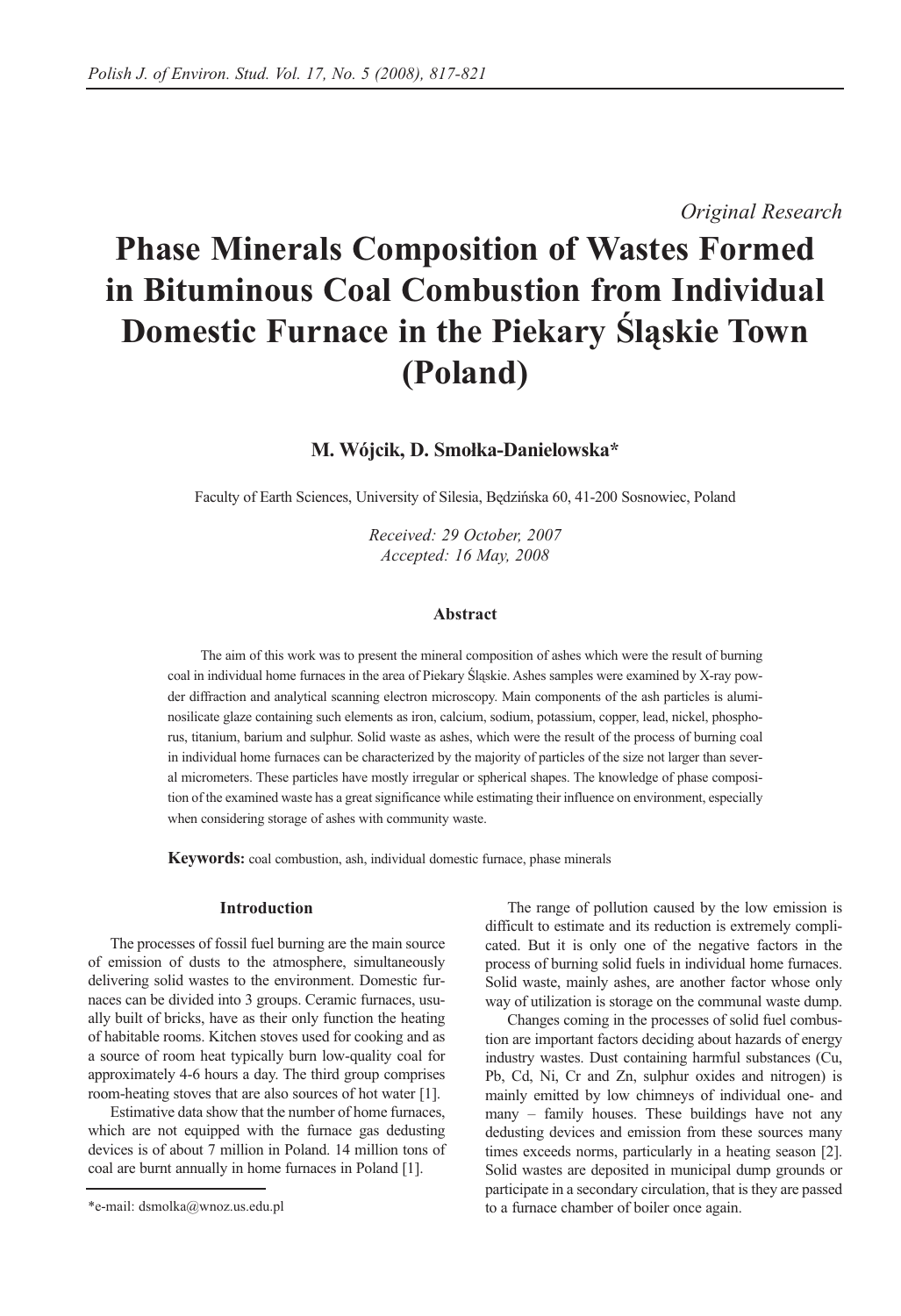*Original Research*

# **Phase Minerals Composition of Wastes Formed in Bituminous Coal Combustion from Individual Domestic Furnace in the Piekary Śląskie Town (Poland)**

# **M. Wójcik, D. Smołka-Danielowska\***

Faculty of Earth Sciences, University of Silesia, Będzińska 60, 41-200 Sosnowiec, Poland

*Received: 29 October, 2007 Accepted: 16 May, 2008*

## **Abstract**

The aim of this work was to present the mineral composition of ashes which were the result of burning coal in individual home furnaces in the area of Piekary Śląskie. Ashes samples were examined by X-ray powder diffraction and analytical scanning electron microscopy. Main components of the ash particles is aluminosilicate glaze containing such elements as iron, calcium, sodium, potassium, copper, lead, nickel, phosphorus, titanium, barium and sulphur. Solid waste as ashes, which were the result of the process of burning coal in individual home furnaces can be characterized by the majority of particles of the size not larger than several micrometers. These particles have mostly irregular or spherical shapes. The knowledge of phase composition of the examined waste has a great significance while estimating their influence on environment, especially when considering storage of ashes with community waste.

**Keywords:** coal combustion, ash, individual domestic furnace, phase minerals

#### **Introduction**

The processes of fossil fuel burning are the main source of emission of dusts to the atmosphere, simultaneously delivering solid wastes to the environment. Domestic furnaces can be divided into 3 groups. Ceramic furnaces, usually built of bricks, have as their only function the heating of habitable rooms. Kitchen stoves used for cooking and as a source of room heat typically burn low-quality coal for approximately 4-6 hours a day. The third group comprises room-heating stoves that are also sources of hot water [1].

Estimative data show that the number of home furnaces, which are not equipped with the furnace gas dedusting devices is of about 7 million in Poland. 14 million tons of coal are burnt annually in home furnaces in Poland [1].

The range of pollution caused by the low emission is difficult to estimate and its reduction is extremely complicated. But it is only one of the negative factors in the process of burning solid fuels in individual home furnaces. Solid waste, mainly ashes, are another factor whose only way of utilization is storage on the communal waste dump.

Changes coming in the processes of solid fuel combustion are important factors deciding about hazards of energy industry wastes. Dust containing harmful substances (Cu, Pb, Cd, Ni, Cr and Zn, sulphur oxides and nitrogen) is mainly emitted by low chimneys of individual one- and many – family houses. These buildings have not any dedusting devices and emission from these sources many times exceeds norms, particularly in a heating season [2]. Solid wastes are deposited in municipal dump grounds or participate in a secondary circulation, that is they are passed to a furnace chamber of boiler once again.

<sup>\*</sup>e-mail: dsmolka@wnoz.us.edu.pl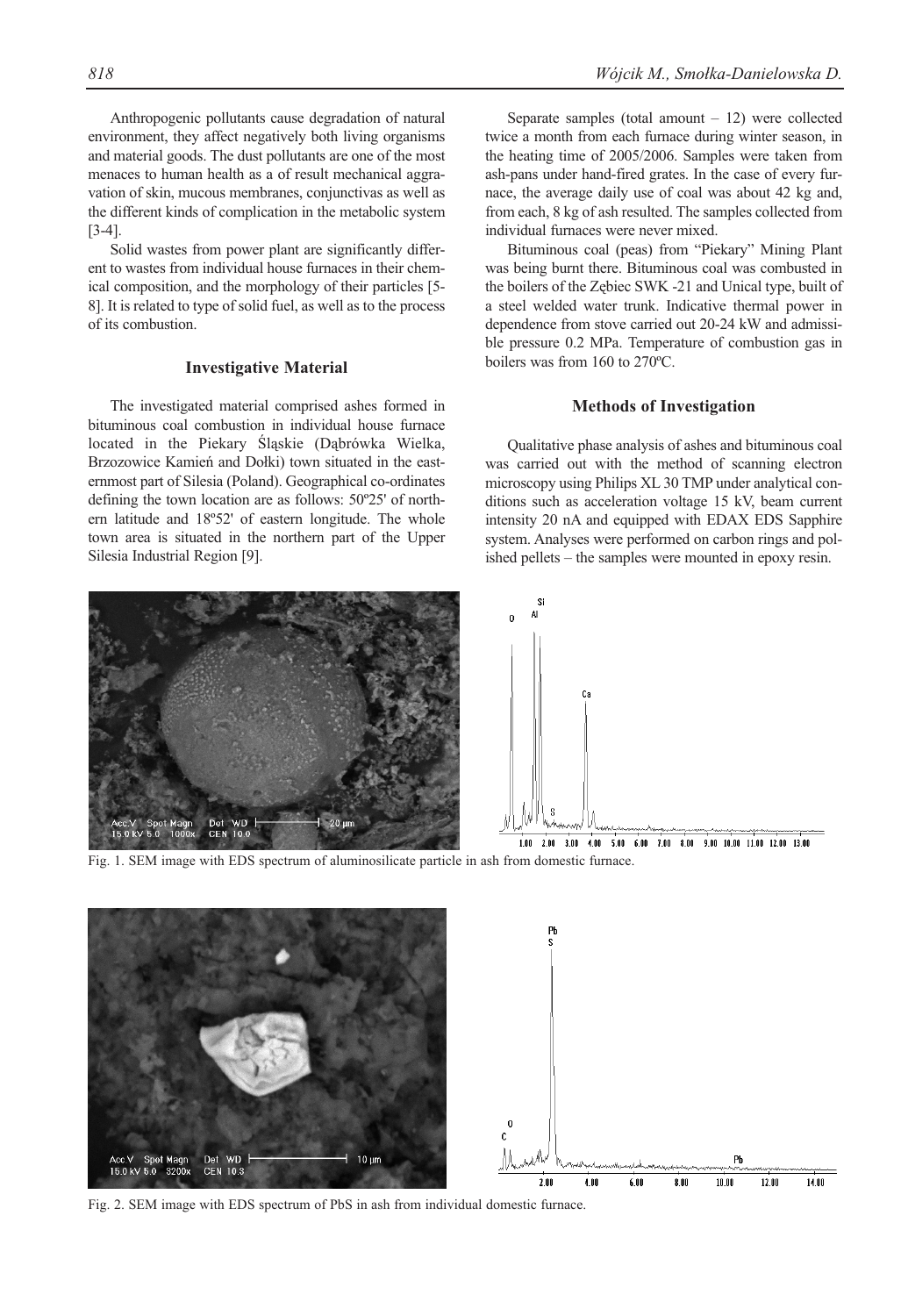Anthropogenic pollutants cause degradation of natural environment, they affect negatively both living organisms and material goods. The dust pollutants are one of the most menaces to human health as a of result mechanical aggravation of skin, mucous membranes, conjunctivas as well as the different kinds of complication in the metabolic system [3-4].

Solid wastes from power plant are significantly different to wastes from individual house furnaces in their chemical composition, and the morphology of their particles [5- 8]. It is related to type of solid fuel, as well as to the process of its combustion.

#### **Investigative Material**

The investigated material comprised ashes formed in bituminous coal combustion in individual house furnace located in the Piekary Śląskie (Dąbrówka Wielka, Brzozowice Kamień and Dołki) town situated in the easternmost part of Silesia (Poland). Geographical co-ordinates defining the town location are as follows: 50º25' of northern latitude and 18º52' of eastern longitude. The whole town area is situated in the northern part of the Upper Silesia Industrial Region [9].

Separate samples (total amount  $-12$ ) were collected twice a month from each furnace during winter season, in the heating time of 2005/2006. Samples were taken from ash-pans under hand-fired grates. In the case of every furnace, the average daily use of coal was about 42 kg and, from each, 8 kg of ash resulted. The samples collected from individual furnaces were never mixed.

Bituminous coal (peas) from "Piekary" Mining Plant was being burnt there. Bituminous coal was combusted in the boilers of the Zębiec SWK -21 and Unical type, built of a steel welded water trunk. Indicative thermal power in dependence from stove carried out 20-24 kW and admissible pressure 0.2 MPa. Temperature of combustion gas in boilers was from 160 to 270ºC.

#### **Methods of Investigation**

Qualitative phase analysis of ashes and bituminous coal was carried out with the method of scanning electron microscopy using Philips XL 30 TMP under analytical conditions such as acceleration voltage 15 kV, beam current intensity 20 nA and equipped with EDAX EDS Sapphire system. Analyses were performed on carbon rings and polished pellets – the samples were mounted in epoxy resin.



Fig. 1. SEM image with EDS spectrum of aluminosilicate particle in ash from domestic furnace.



Fig. 2. SEM image with EDS spectrum of PbS in ash from individual domestic furnace.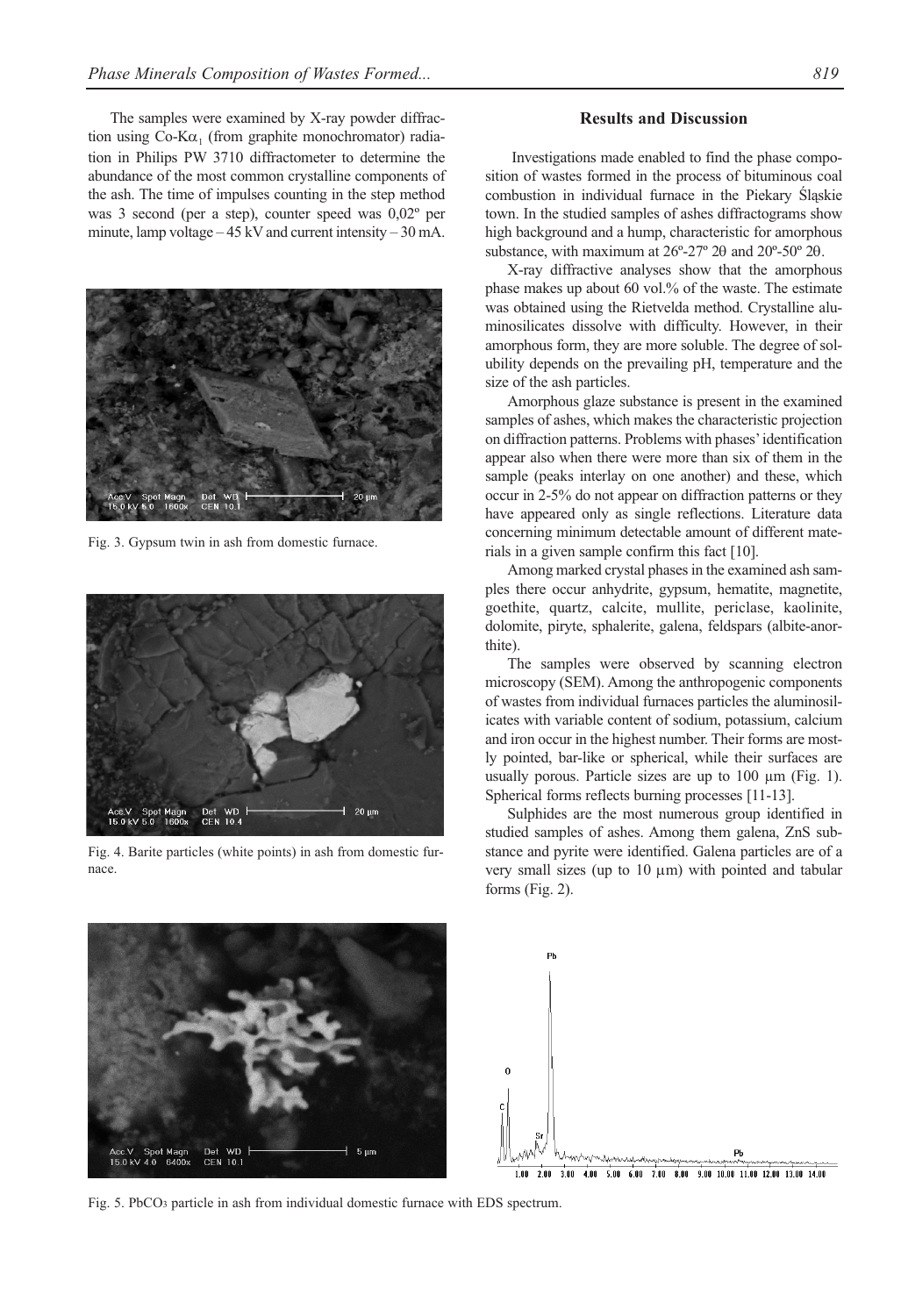The samples were examined by X-ray powder diffraction using  $Co-K\alpha_1$  (from graphite monochromator) radiation in Philips PW 3710 diffractometer to determine the abundance of the most common crystalline components of the ash. The time of impulses counting in the step method was 3 second (per a step), counter speed was 0,02º per minute, lamp voltage  $-45 \text{ kV}$  and current intensity  $-30 \text{ mA}$ .



Fig. 3. Gypsum twin in ash from domestic furnace.



Fig. 4. Barite particles (white points) in ash from domestic furnace.

# **Results and Discussion**

Investigations made enabled to find the phase composition of wastes formed in the process of bituminous coal combustion in individual furnace in the Piekary Śląskie town. In the studied samples of ashes diffractograms show high background and a hump, characteristic for amorphous substance, with maximum at 26º-27º 2θ and 20º-50º 2θ.

X-ray diffractive analyses show that the amorphous phase makes up about 60 vol.% of the waste. The estimate was obtained using the Rietvelda method. Crystalline aluminosilicates dissolve with difficulty. However, in their amorphous form, they are more soluble. The degree of solubility depends on the prevailing pH, temperature and the size of the ash particles.

Amorphous glaze substance is present in the examined samples of ashes, which makes the characteristic projection on diffraction patterns. Problems with phases' identification appear also when there were more than six of them in the sample (peaks interlay on one another) and these, which occur in 2-5% do not appear on diffraction patterns or they have appeared only as single reflections. Literature data concerning minimum detectable amount of different materials in a given sample confirm this fact [10].

Among marked crystal phases in the examined ash samples there occur anhydrite, gypsum, hematite, magnetite, goethite, quartz, calcite, mullite, periclase, kaolinite, dolomite, piryte, sphalerite, galena, feldspars (albite-anorthite).

The samples were observed by scanning electron microscopy (SEM). Among the anthropogenic components of wastes from individual furnaces particles the aluminosilicates with variable content of sodium, potassium, calcium and iron occur in the highest number. Their forms are mostly pointed, bar-like or spherical, while their surfaces are usually porous. Particle sizes are up to 100 µm (Fig. 1). Spherical forms reflects burning processes [11-13].

Sulphides are the most numerous group identified in studied samples of ashes. Among them galena, ZnS substance and pyrite were identified. Galena particles are of a very small sizes (up to 10 μm) with pointed and tabular forms (Fig. 2).





2.00 3.00 4.00 5.00 6.00 7.00 8.00 9.00 10.00 11.00 12.00 13.00 14.00

Fig. 5. PbCO3 particle in ash from individual domestic furnace with EDS spectrum.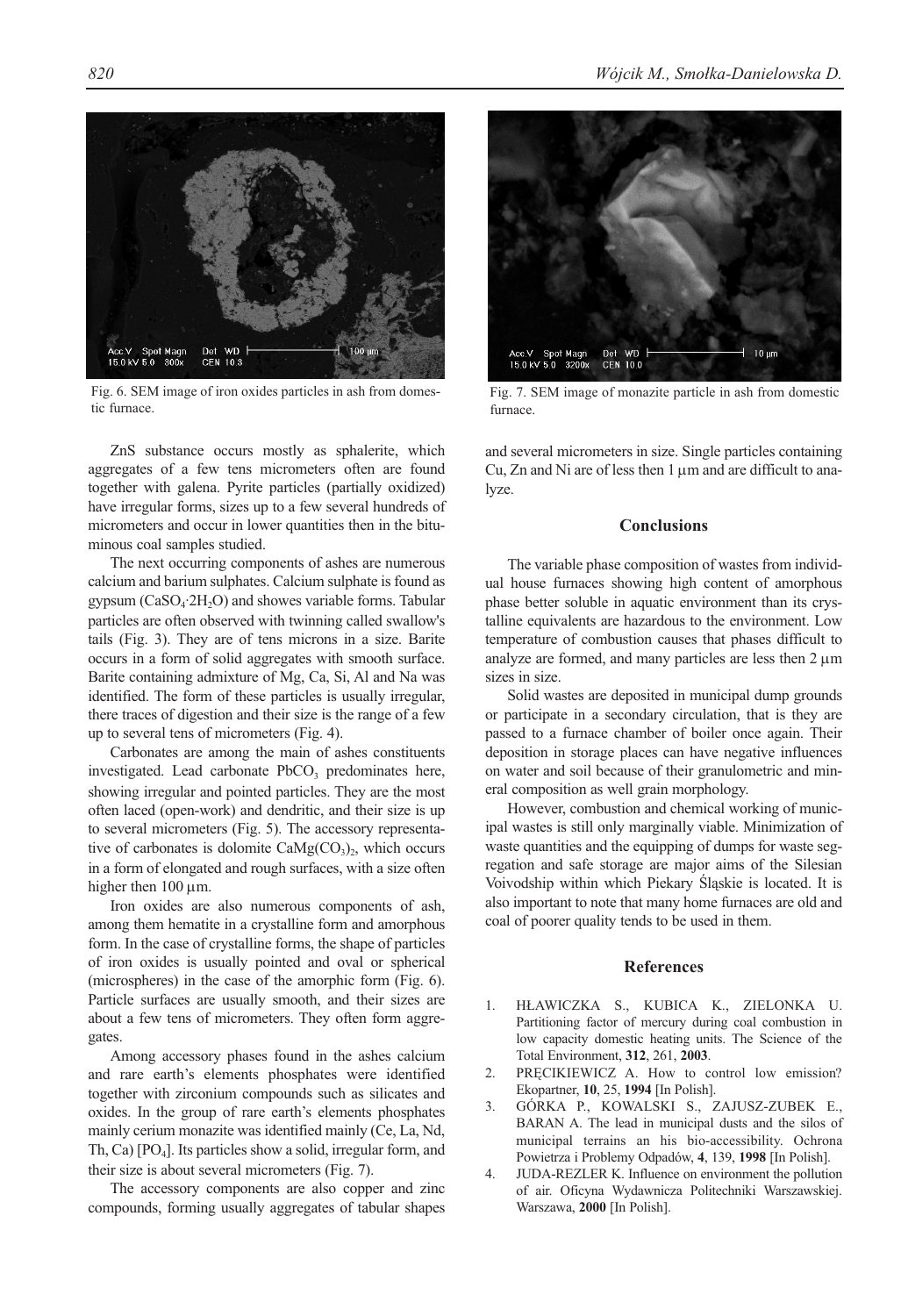Acc.V Spot Magn<br>15.0 kV 5.0 300x Det WD<br>CEN 10.3 100 um

Fig. 6. SEM image of iron oxides particles in ash from domestic furnace.

ZnS substance occurs mostly as sphalerite, which aggregates of a few tens micrometers often are found together with galena. Pyrite particles (partially oxidized) have irregular forms, sizes up to a few several hundreds of micrometers and occur in lower quantities then in the bituminous coal samples studied.

The next occurring components of ashes are numerous calcium and barium sulphates. Calcium sulphate is found as gypsum  $(CaSO<sub>4</sub>·2H<sub>2</sub>O)$  and showes variable forms. Tabular particles are often observed with twinning called swallow's tails (Fig. 3). They are of tens microns in a size. Barite occurs in a form of solid aggregates with smooth surface. Barite containing admixture of Mg, Ca, Si, Al and Na was identified. The form of these particles is usually irregular, there traces of digestion and their size is the range of a few up to several tens of micrometers (Fig. 4).

Carbonates are among the main of ashes constituents investigated. Lead carbonate  $PbCO<sub>3</sub>$  predominates here, showing irregular and pointed particles. They are the most often laced (open-work) and dendritic, and their size is up to several micrometers (Fig. 5). The accessory representative of carbonates is dolomite  $CaMg(CO<sub>3</sub>)<sub>2</sub>$ , which occurs in a form of elongated and rough surfaces, with a size often higher then 100 μm.

Iron oxides are also numerous components of ash, among them hematite in a crystalline form and amorphous form. In the case of crystalline forms, the shape of particles of iron oxides is usually pointed and oval or spherical (microspheres) in the case of the amorphic form (Fig. 6). Particle surfaces are usually smooth, and their sizes are about a few tens of micrometers. They often form aggregates.

Among accessory phases found in the ashes calcium and rare earth's elements phosphates were identified together with zirconium compounds such as silicates and oxides. In the group of rare earth's elements phosphates mainly cerium monazite was identified mainly (Ce, La, Nd, Th, Ca)  $[PO_4]$ . Its particles show a solid, irregular form, and their size is about several micrometers (Fig. 7).

The accessory components are also copper and zinc compounds, forming usually aggregates of tabular shapes



Fig. 7. SEM image of monazite particle in ash from domestic furnace.

and several micrometers in size. Single particles containing Cu, Zn and Ni are of less then 1 μm and are difficult to analyze.

### **Conclusions**

The variable phase composition of wastes from individual house furnaces showing high content of amorphous phase better soluble in aquatic environment than its crystalline equivalents are hazardous to the environment. Low temperature of combustion causes that phases difficult to analyze are formed, and many particles are less then 2 μm sizes in size.

Solid wastes are deposited in municipal dump grounds or participate in a secondary circulation, that is they are passed to a furnace chamber of boiler once again. Their deposition in storage places can have negative influences on water and soil because of their granulometric and mineral composition as well grain morphology.

However, combustion and chemical working of municipal wastes is still only marginally viable. Minimization of waste quantities and the equipping of dumps for waste segregation and safe storage are major aims of the Silesian Voivodship within which Piekary Śląskie is located. It is also important to note that many home furnaces are old and coal of poorer quality tends to be used in them.

#### **References**

- 1. HŁAWICZKA S., KUBICA K., ZIELONKA U. Partitioning factor of mercury during coal combustion in low capacity domestic heating units. The Science of the Total Environment, **312**, 261, **2003**.
- 2. PRĘCIKIEWICZ A. How to control low emission? Ekopartner, **10**, 25, **1994** [In Polish].
- 3. GÓRKA P., KOWALSKI S., ZAJUSZ-ZUBEK E., BARAN A. The lead in municipal dusts and the silos of municipal terrains an his bio-accessibility. Ochrona Powietrza i Problemy Odpadów, **4**, 139, **1998** [In Polish].
- 4. JUDA-REZLER K. Influence on environment the pollution of air. Oficyna Wydawnicza Politechniki Warszawskiej. Warszawa, **2000** [In Polish].